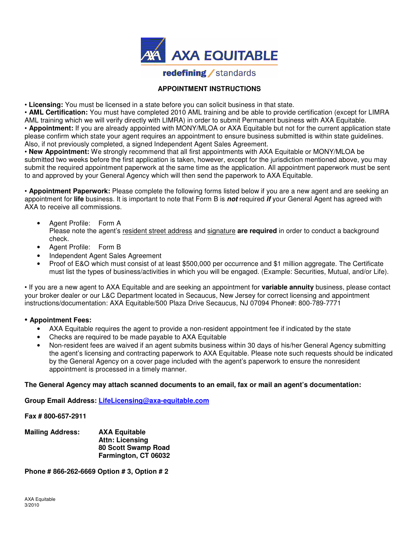

# **redefining** / standards

# **APPOINTMENT INSTRUCTIONS**

• **Licensing:** You must be licensed in a state before you can solicit business in that state.

• **AML Certification:** You must have completed 2010 AML training and be able to provide certification (except for LIMRA AML training which we will verify directly with LIMRA) in order to submit Permanent business with AXA Equitable. • **Appointment:** If you are already appointed with MONY/MLOA or AXA Equitable but not for the current application state please confirm which state your agent requires an appointment to ensure business submitted is within state guidelines. Also, if not previously completed, a signed Independent Agent Sales Agreement.

• **New Appointment:** We strongly recommend that all first appointments with AXA Equitable or MONY/MLOA be submitted two weeks before the first application is taken, however, except for the jurisdiction mentioned above, you may submit the required appointment paperwork at the same time as the application. All appointment paperwork must be sent to and approved by your General Agency which will then send the paperwork to AXA Equitable.

• **Appointment Paperwork:** Please complete the following forms listed below if you are a new agent and are seeking an appointment for **life** business. It is important to note that Form B is **not** required **if** your General Agent has agreed with AXA to receive all commissions.

- Agent Profile: Form A Please note the agent's resident street address and signature **are required** in order to conduct a background check.
- Agent Profile: Form B
- Independent Agent Sales Agreement
- Proof of E&O which must consist of at least \$500,000 per occurrence and \$1 million aggregate. The Certificate must list the types of business/activities in which you will be engaged. (Example: Securities, Mutual, and/or Life).

• If you are a new agent to AXA Equitable and are seeking an appointment for **variable annuity** business, please contact your broker dealer or our L&C Department located in Secaucus, New Jersey for correct licensing and appointment instructions/documentation: AXA Equitable/500 Plaza Drive Secaucus, NJ 07094 Phone#: 800-789-7771

## • **Appointment Fees:**

- AXA Equitable requires the agent to provide a non-resident appointment fee if indicated by the state
- Checks are required to be made payable to AXA Equitable
- Non-resident fees are waived if an agent submits business within 30 days of his/her General Agency submitting the agent's licensing and contracting paperwork to AXA Equitable. Please note such requests should be indicated by the General Agency on a cover page included with the agent's paperwork to ensure the nonresident appointment is processed in a timely manner.

## **The General Agency may attach scanned documents to an email, fax or mail an agent's documentation:**

**Group Email Address: LifeLicensing@axa-equitable.com** 

**Fax # 800-657-2911** 

**Mailing Address: AXA Equitable Attn: Licensing 80 Scott Swamp Road Farmington, CT 06032** 

**Phone # 866-262-6669 Option # 3, Option # 2**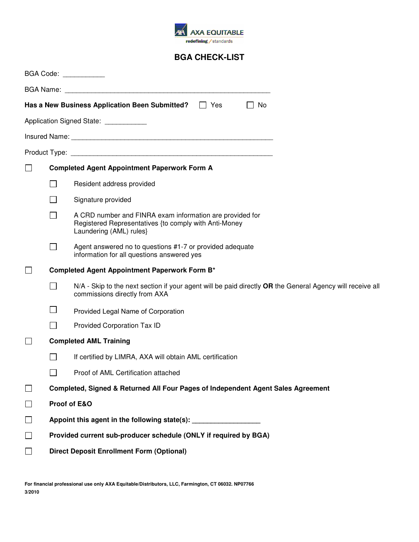

# **BGA CHECK-LIST**

|        |                                                                                  | BGA Code: ____________                                                                                                                       |  |  |
|--------|----------------------------------------------------------------------------------|----------------------------------------------------------------------------------------------------------------------------------------------|--|--|
|        |                                                                                  |                                                                                                                                              |  |  |
|        |                                                                                  | Has a New Business Application Been Submitted?<br>$\Box$ Yes<br>$\perp$<br>No                                                                |  |  |
|        |                                                                                  | Application Signed State: ___________                                                                                                        |  |  |
|        |                                                                                  |                                                                                                                                              |  |  |
|        |                                                                                  |                                                                                                                                              |  |  |
|        | <b>Completed Agent Appointment Paperwork Form A</b>                              |                                                                                                                                              |  |  |
|        |                                                                                  | Resident address provided                                                                                                                    |  |  |
|        |                                                                                  | Signature provided                                                                                                                           |  |  |
|        |                                                                                  | A CRD number and FINRA exam information are provided for<br>Registered Representatives {to comply with Anti-Money<br>Laundering (AML) rules} |  |  |
|        | $\Box$                                                                           | Agent answered no to questions #1-7 or provided adequate<br>information for all questions answered yes                                       |  |  |
|        |                                                                                  | Completed Agent Appointment Paperwork Form B*                                                                                                |  |  |
|        | $\mathcal{L}$                                                                    | N/A - Skip to the next section if your agent will be paid directly OR the General Agency will receive all<br>commissions directly from AXA   |  |  |
|        |                                                                                  | Provided Legal Name of Corporation                                                                                                           |  |  |
|        | $\overline{\phantom{a}}$                                                         | Provided Corporation Tax ID                                                                                                                  |  |  |
|        |                                                                                  | <b>Completed AML Training</b>                                                                                                                |  |  |
|        |                                                                                  | If certified by LIMRA, AXA will obtain AML certification                                                                                     |  |  |
|        |                                                                                  | Proof of AML Certification attached                                                                                                          |  |  |
| $\Box$ | Completed, Signed & Returned All Four Pages of Independent Agent Sales Agreement |                                                                                                                                              |  |  |
| $\Box$ | Proof of E&O                                                                     |                                                                                                                                              |  |  |
| $\Box$ | Appoint this agent in the following state(s): __________________________________ |                                                                                                                                              |  |  |
| П      | Provided current sub-producer schedule (ONLY if required by BGA)                 |                                                                                                                                              |  |  |
|        | <b>Direct Deposit Enrollment Form (Optional)</b>                                 |                                                                                                                                              |  |  |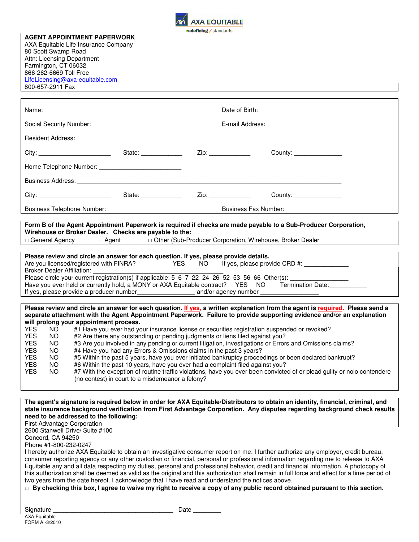

#### **AGENT APPOINTMENT PAPERWORK**

AXA Equitable Life Insurance Company 80 Scott Swamp Road Attn: Licensing Department Farmington, CT 06032 866-262-6669 Toll Free LifeLicensing@axa-equitable.com 800-657-2911 Fax

|                                                                                                                           |                                                                                                                                                                                                                                     |                     | Date of Birth: The Case of Birth:                                                                                       |  |
|---------------------------------------------------------------------------------------------------------------------------|-------------------------------------------------------------------------------------------------------------------------------------------------------------------------------------------------------------------------------------|---------------------|-------------------------------------------------------------------------------------------------------------------------|--|
|                                                                                                                           |                                                                                                                                                                                                                                     |                     | E-mail Address: E-mail Address:                                                                                         |  |
|                                                                                                                           | Resident Address: Weblater School and Contract and Contract and Contract and Contract and Contract and Contract and Contract and Contract and Contract and Contract and Contract and Contract and Contract and Contract and Co      |                     |                                                                                                                         |  |
|                                                                                                                           |                                                                                                                                                                                                                                     | Zip: ______________ | County: ________________                                                                                                |  |
|                                                                                                                           |                                                                                                                                                                                                                                     |                     |                                                                                                                         |  |
|                                                                                                                           | Business Address: <u>Communications</u> and Contract and Contract and Contract and Contract and Contract and Contract and Contract and Contract and Contract and Contract and Contract and Contract and Contract and Contract and C |                     |                                                                                                                         |  |
|                                                                                                                           |                                                                                                                                                                                                                                     |                     | County: _________________                                                                                               |  |
|                                                                                                                           |                                                                                                                                                                                                                                     |                     |                                                                                                                         |  |
|                                                                                                                           |                                                                                                                                                                                                                                     |                     |                                                                                                                         |  |
|                                                                                                                           | Form B of the Agent Appointment Paperwork is required if checks are made payable to a Sub-Producer Corporation,                                                                                                                     |                     |                                                                                                                         |  |
|                                                                                                                           | Wirehouse or Broker Dealer. Checks are payable to the:                                                                                                                                                                              |                     |                                                                                                                         |  |
| □ General Agency                                                                                                          | $\Box$ Agent                                                                                                                                                                                                                        |                     | □ Other (Sub-Producer Corporation, Wirehouse, Broker Dealer                                                             |  |
|                                                                                                                           |                                                                                                                                                                                                                                     |                     |                                                                                                                         |  |
|                                                                                                                           | Please review and circle an answer for each question. If yes, please provide details.                                                                                                                                               |                     |                                                                                                                         |  |
|                                                                                                                           | Are you licensed/registered with FINRA? YES NO If yes, please provide CRD #: ______________                                                                                                                                         |                     |                                                                                                                         |  |
| <b>Broker Dealer Affiliation:</b>                                                                                         |                                                                                                                                                                                                                                     |                     |                                                                                                                         |  |
|                                                                                                                           | Please circle your current registration(s) if applicable: 5 6 7 22 24 26 52 53 56 66 Other(s):                                                                                                                                      |                     |                                                                                                                         |  |
|                                                                                                                           | Have you ever held or currently hold, a MONY or AXA Equitable contract? YES NO Termination Date:                                                                                                                                    |                     |                                                                                                                         |  |
|                                                                                                                           |                                                                                                                                                                                                                                     |                     |                                                                                                                         |  |
|                                                                                                                           | Please review and circle an answer for each question. If yes, a written explanation from the agent is required. Please send a                                                                                                       |                     |                                                                                                                         |  |
|                                                                                                                           | separate attachment with the Agent Appointment Paperwork. Failure to provide supporting evidence and/or an explanation                                                                                                              |                     |                                                                                                                         |  |
|                                                                                                                           | will prolong your appointment process.                                                                                                                                                                                              |                     |                                                                                                                         |  |
| <b>YES</b><br>NO.                                                                                                         | #1 Have you ever had your insurance license or securities registration suspended or revoked?                                                                                                                                        |                     |                                                                                                                         |  |
| <b>YES</b><br>NO.                                                                                                         | #2 Are there any outstanding or pending judgments or liens filed against you?                                                                                                                                                       |                     |                                                                                                                         |  |
| <b>YES</b><br>NO.                                                                                                         |                                                                                                                                                                                                                                     |                     | #3 Are you involved in any pending or current litigation, investigations or Errors and Omissions claims?                |  |
| <b>YES</b><br>NO.                                                                                                         | #4 Have you had any Errors & Omissions claims in the past 3 years?                                                                                                                                                                  |                     |                                                                                                                         |  |
| <b>YES</b><br>NO.                                                                                                         | #5 Within the past 5 years, have you ever initiated bankruptcy proceedings or been declared bankrupt?                                                                                                                               |                     |                                                                                                                         |  |
| <b>YES</b><br>NO.                                                                                                         | #6 Within the past 10 years, have you ever had a complaint filed against you?                                                                                                                                                       |                     |                                                                                                                         |  |
| <b>YES</b><br>NO.                                                                                                         |                                                                                                                                                                                                                                     |                     | #7 With the exception of routine traffic violations, have you ever been convicted of or plead guilty or nolo contendere |  |
|                                                                                                                           | (no contest) in court to a misdemeanor a felony?                                                                                                                                                                                    |                     |                                                                                                                         |  |
|                                                                                                                           |                                                                                                                                                                                                                                     |                     |                                                                                                                         |  |
|                                                                                                                           |                                                                                                                                                                                                                                     |                     |                                                                                                                         |  |
|                                                                                                                           | The agent's signature is required below in order for AXA Equitable/Distributors to obtain an identity, financial, criminal, and                                                                                                     |                     |                                                                                                                         |  |
| state insurance background verification from First Advantage Corporation. Any disputes regarding background check results |                                                                                                                                                                                                                                     |                     |                                                                                                                         |  |
| need to be addressed to the following:<br>First Advantage Corporation                                                     |                                                                                                                                                                                                                                     |                     |                                                                                                                         |  |
| 2600 Stanwell Drive/ Suite #100                                                                                           |                                                                                                                                                                                                                                     |                     |                                                                                                                         |  |
| Concord, CA 94250                                                                                                         |                                                                                                                                                                                                                                     |                     |                                                                                                                         |  |

Phone #1-800-232-0247

I hereby authorize AXA Equitable to obtain an investigative consumer report on me. I further authorize any employer, credit bureau, consumer reporting agency or any other custodian or financial, personal or professional information regarding me to release to AXA Equitable any and all data respecting my duties, personal and professional behavior, credit and financial information. A photocopy of this authorization shall be deemed as valid as the original and this authorization shall remain in full force and effect for a time period of two years from the date hereof. I acknowledge that I have read and understand the notices above.

□ **By checking this box, I agree to waive my right to receive a copy of any public record obtained pursuant to this section.**

Signature **Example 20** Date  $\overline{a}$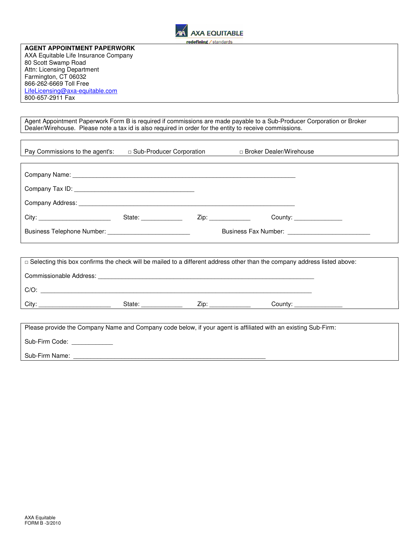

**AGENT APPOINTMENT PAPERWORK**  AXA Equitable Life Insurance Company 80 Scott Swamp Road Attn: Licensing Department Farmington, CT 06032 866-262-6669 Toll Free LifeLicensing@axa-equitable.com 800-657-2911 Fax

Agent Appointment Paperwork Form B is required if commissions are made payable to a Sub-Producer Corporation or Broker Dealer/Wirehouse. Please note a tax id is also required in order for the entity to receive commissions.

| Pay Commissions to the agent's:            | □ Sub-Producer Corporation                                                                                                                                                                                                     |      | □ Broker Dealer/Wirehouse         |
|--------------------------------------------|--------------------------------------------------------------------------------------------------------------------------------------------------------------------------------------------------------------------------------|------|-----------------------------------|
|                                            |                                                                                                                                                                                                                                |      |                                   |
|                                            |                                                                                                                                                                                                                                |      |                                   |
|                                            |                                                                                                                                                                                                                                |      |                                   |
| Company Address: National Company Address: |                                                                                                                                                                                                                                |      |                                   |
|                                            | State: The State of the State of the State of the State of the State of the State of the State of the State of the State of the State of the State of the State of the State of the State of the State of the State of the Sta | Zip: | County: <u>__________________</u> |
|                                            |                                                                                                                                                                                                                                |      |                                   |
|                                            |                                                                                                                                                                                                                                |      |                                   |

| Commissionable Address:            |  |
|------------------------------------|--|
|                                    |  |
| $C/O$ :                            |  |
| City:<br>7in:<br>County:<br>State: |  |

Please provide the Company Name and Company code below, if your agent is affiliated with an existing Sub-Firm: Sub-Firm Code: Sub-Firm Name: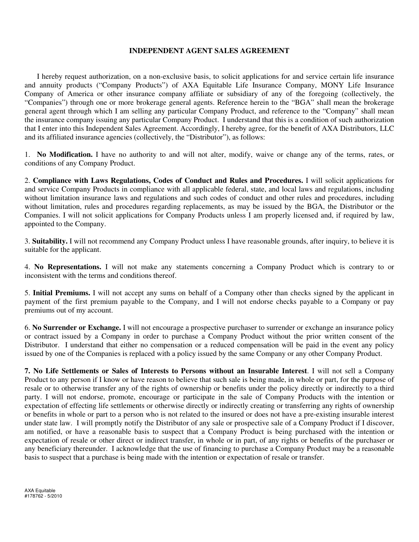## **INDEPENDENT AGENT SALES AGREEMENT**

I hereby request authorization, on a non-exclusive basis, to solicit applications for and service certain life insurance and annuity products ("Company Products") of AXA Equitable Life Insurance Company, MONY Life Insurance Company of America or other insurance company affiliate or subsidiary of any of the foregoing (collectively, the "Companies") through one or more brokerage general agents. Reference herein to the "BGA" shall mean the brokerage general agent through which I am selling any particular Company Product, and reference to the "Company" shall mean the insurance company issuing any particular Company Product. I understand that this is a condition of such authorization that I enter into this Independent Sales Agreement. Accordingly, I hereby agree, for the benefit of AXA Distributors, LLC and its affiliated insurance agencies (collectively, the "Distributor"), as follows:

1. **No Modification.** I have no authority to and will not alter, modify, waive or change any of the terms, rates, or conditions of any Company Product.

2. **Compliance with Laws Regulations, Codes of Conduct and Rules and Procedures.** I will solicit applications for and service Company Products in compliance with all applicable federal, state, and local laws and regulations, including without limitation insurance laws and regulations and such codes of conduct and other rules and procedures, including without limitation, rules and procedures regarding replacements, as may be issued by the BGA, the Distributor or the Companies. I will not solicit applications for Company Products unless I am properly licensed and, if required by law, appointed to the Company.

3. **Suitability.** I will not recommend any Company Product unless I have reasonable grounds, after inquiry, to believe it is suitable for the applicant.

4. **No Representations.** I will not make any statements concerning a Company Product which is contrary to or inconsistent with the terms and conditions thereof.

5. **Initial Premiums.** I will not accept any sums on behalf of a Company other than checks signed by the applicant in payment of the first premium payable to the Company, and I will not endorse checks payable to a Company or pay premiums out of my account.

6. **No Surrender or Exchange.** I will not encourage a prospective purchaser to surrender or exchange an insurance policy or contract issued by a Company in order to purchase a Company Product without the prior written consent of the Distributor. I understand that either no compensation or a reduced compensation will be paid in the event any policy issued by one of the Companies is replaced with a policy issued by the same Company or any other Company Product.

**7. No Life Settlements or Sales of Interests to Persons without an Insurable Interest**. I will not sell a Company Product to any person if I know or have reason to believe that such sale is being made, in whole or part, for the purpose of resale or to otherwise transfer any of the rights of ownership or benefits under the policy directly or indirectly to a third party. I will not endorse, promote, encourage or participate in the sale of Company Products with the intention or expectation of effecting life settlements or otherwise directly or indirectly creating or transferring any rights of ownership or benefits in whole or part to a person who is not related to the insured or does not have a pre-existing insurable interest under state law. I will promptly notify the Distributor of any sale or prospective sale of a Company Product if I discover, am notified, or have a reasonable basis to suspect that a Company Product is being purchased with the intention or expectation of resale or other direct or indirect transfer, in whole or in part, of any rights or benefits of the purchaser or any beneficiary thereunder. I acknowledge that the use of financing to purchase a Company Product may be a reasonable basis to suspect that a purchase is being made with the intention or expectation of resale or transfer.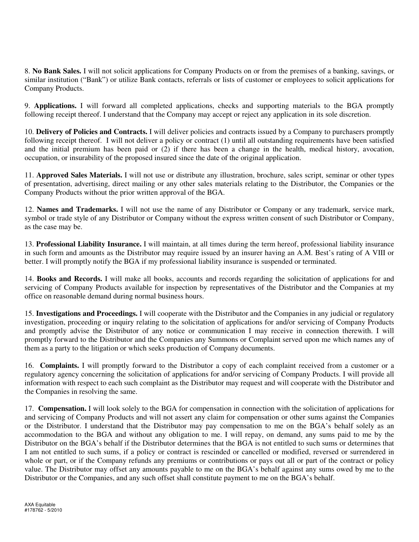8. **No Bank Sales.** I will not solicit applications for Company Products on or from the premises of a banking, savings, or similar institution ("Bank") or utilize Bank contacts, referrals or lists of customer or employees to solicit applications for Company Products.

9. **Applications.** I will forward all completed applications, checks and supporting materials to the BGA promptly following receipt thereof. I understand that the Company may accept or reject any application in its sole discretion.

10. **Delivery of Policies and Contracts.** I will deliver policies and contracts issued by a Company to purchasers promptly following receipt thereof. I will not deliver a policy or contract (1) until all outstanding requirements have been satisfied and the initial premium has been paid or (2) if there has been a change in the health, medical history, avocation, occupation, or insurability of the proposed insured since the date of the original application.

11. **Approved Sales Materials.** I will not use or distribute any illustration, brochure, sales script, seminar or other types of presentation, advertising, direct mailing or any other sales materials relating to the Distributor, the Companies or the Company Products without the prior written approval of the BGA.

12. **Names and Trademarks.** I will not use the name of any Distributor or Company or any trademark, service mark, symbol or trade style of any Distributor or Company without the express written consent of such Distributor or Company, as the case may be.

13. **Professional Liability Insurance.** I will maintain, at all times during the term hereof, professional liability insurance in such form and amounts as the Distributor may require issued by an insurer having an A.M. Best's rating of A VIII or better. I will promptly notify the BGA if my professional liability insurance is suspended or terminated.

14. **Books and Records.** I will make all books, accounts and records regarding the solicitation of applications for and servicing of Company Products available for inspection by representatives of the Distributor and the Companies at my office on reasonable demand during normal business hours.

15. **Investigations and Proceedings.** I will cooperate with the Distributor and the Companies in any judicial or regulatory investigation, proceeding or inquiry relating to the solicitation of applications for and/or servicing of Company Products and promptly advise the Distributor of any notice or communication I may receive in connection therewith. I will promptly forward to the Distributor and the Companies any Summons or Complaint served upon me which names any of them as a party to the litigation or which seeks production of Company documents.

16. **Complaints.** I will promptly forward to the Distributor a copy of each complaint received from a customer or a regulatory agency concerning the solicitation of applications for and/or servicing of Company Products. I will provide all information with respect to each such complaint as the Distributor may request and will cooperate with the Distributor and the Companies in resolving the same.

17. **Compensation.** I will look solely to the BGA for compensation in connection with the solicitation of applications for and servicing of Company Products and will not assert any claim for compensation or other sums against the Companies or the Distributor. I understand that the Distributor may pay compensation to me on the BGA's behalf solely as an accommodation to the BGA and without any obligation to me. I will repay, on demand, any sums paid to me by the Distributor on the BGA's behalf if the Distributor determines that the BGA is not entitled to such sums or determines that I am not entitled to such sums, if a policy or contract is rescinded or cancelled or modified, reversed or surrendered in whole or part, or if the Company refunds any premiums or contributions or pays out all or part of the contract or policy value. The Distributor may offset any amounts payable to me on the BGA's behalf against any sums owed by me to the Distributor or the Companies, and any such offset shall constitute payment to me on the BGA's behalf.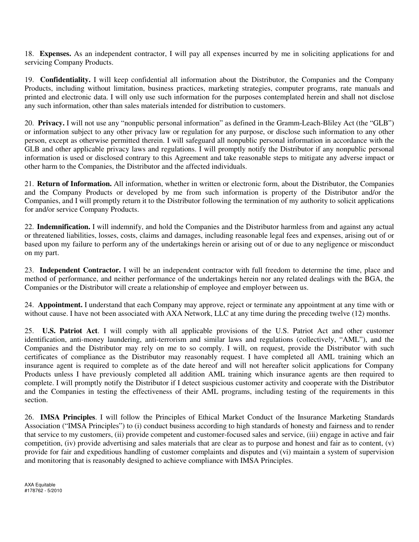18. **Expenses.** As an independent contractor, I will pay all expenses incurred by me in soliciting applications for and servicing Company Products.

19. **Confidentiality.** I will keep confidential all information about the Distributor, the Companies and the Company Products, including without limitation, business practices, marketing strategies, computer programs, rate manuals and printed and electronic data. I will only use such information for the purposes contemplated herein and shall not disclose any such information, other than sales materials intended for distribution to customers.

20. **Privacy.** I will not use any "nonpublic personal information" as defined in the Gramm-Leach-Bliley Act (the "GLB") or information subject to any other privacy law or regulation for any purpose, or disclose such information to any other person, except as otherwise permitted therein. I will safeguard all nonpublic personal information in accordance with the GLB and other applicable privacy laws and regulations. I will promptly notify the Distributor if any nonpublic personal information is used or disclosed contrary to this Agreement and take reasonable steps to mitigate any adverse impact or other harm to the Companies, the Distributor and the affected individuals.

21. **Return of Information.** All information, whether in written or electronic form, about the Distributor, the Companies and the Company Products or developed by me from such information is property of the Distributor and/or the Companies, and I will promptly return it to the Distributor following the termination of my authority to solicit applications for and/or service Company Products.

22. **Indemnification.** I will indemnify, and hold the Companies and the Distributor harmless from and against any actual or threatened liabilities, losses, costs, claims and damages, including reasonable legal fees and expenses, arising out of or based upon my failure to perform any of the undertakings herein or arising out of or due to any negligence or misconduct on my part.

23. **Independent Contractor.** I will be an independent contractor with full freedom to determine the time, place and method of performance, and neither performance of the undertakings herein nor any related dealings with the BGA, the Companies or the Distributor will create a relationship of employee and employer between us.

24. **Appointment.** I understand that each Company may approve, reject or terminate any appointment at any time with or without cause. I have not been associated with AXA Network, LLC at any time during the preceding twelve (12) months.

25. **U.S. Patriot Act**. I will comply with all applicable provisions of the U.S. Patriot Act and other customer identification, anti-money laundering, anti-terrorism and similar laws and regulations (collectively, "AML"), and the Companies and the Distributor may rely on me to so comply. I will, on request, provide the Distributor with such certificates of compliance as the Distributor may reasonably request. I have completed all AML training which an insurance agent is required to complete as of the date hereof and will not hereafter solicit applications for Company Products unless I have previously completed all addition AML training which insurance agents are then required to complete. I will promptly notify the Distributor if I detect suspicious customer activity and cooperate with the Distributor and the Companies in testing the effectiveness of their AML programs, including testing of the requirements in this section.

26. **IMSA Principles**. I will follow the Principles of Ethical Market Conduct of the Insurance Marketing Standards Association ("IMSA Principles") to (i) conduct business according to high standards of honesty and fairness and to render that service to my customers, (ii) provide competent and customer-focused sales and service, (iii) engage in active and fair competition, (iv) provide advertising and sales materials that are clear as to purpose and honest and fair as to content, (v) provide for fair and expeditious handling of customer complaints and disputes and (vi) maintain a system of supervision and monitoring that is reasonably designed to achieve compliance with IMSA Principles.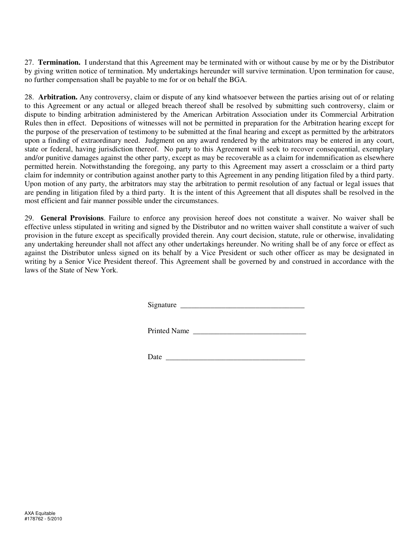27. **Termination.** I understand that this Agreement may be terminated with or without cause by me or by the Distributor by giving written notice of termination. My undertakings hereunder will survive termination. Upon termination for cause, no further compensation shall be payable to me for or on behalf the BGA.

28. **Arbitration.** Any controversy, claim or dispute of any kind whatsoever between the parties arising out of or relating to this Agreement or any actual or alleged breach thereof shall be resolved by submitting such controversy, claim or dispute to binding arbitration administered by the American Arbitration Association under its Commercial Arbitration Rules then in effect. Depositions of witnesses will not be permitted in preparation for the Arbitration hearing except for the purpose of the preservation of testimony to be submitted at the final hearing and except as permitted by the arbitrators upon a finding of extraordinary need. Judgment on any award rendered by the arbitrators may be entered in any court, state or federal, having jurisdiction thereof. No party to this Agreement will seek to recover consequential, exemplary and/or punitive damages against the other party, except as may be recoverable as a claim for indemnification as elsewhere permitted herein. Notwithstanding the foregoing, any party to this Agreement may assert a crossclaim or a third party claim for indemnity or contribution against another party to this Agreement in any pending litigation filed by a third party. Upon motion of any party, the arbitrators may stay the arbitration to permit resolution of any factual or legal issues that are pending in litigation filed by a third party. It is the intent of this Agreement that all disputes shall be resolved in the most efficient and fair manner possible under the circumstances.

29. **General Provisions**. Failure to enforce any provision hereof does not constitute a waiver. No waiver shall be effective unless stipulated in writing and signed by the Distributor and no written waiver shall constitute a waiver of such provision in the future except as specifically provided therein. Any court decision, statute, rule or otherwise, invalidating any undertaking hereunder shall not affect any other undertakings hereunder. No writing shall be of any force or effect as against the Distributor unless signed on its behalf by a Vice President or such other officer as may be designated in writing by a Senior Vice President thereof. This Agreement shall be governed by and construed in accordance with the laws of the State of New York.

Signature \_\_\_\_\_\_\_\_\_\_\_\_\_\_\_\_\_\_\_\_\_\_\_\_\_\_\_\_\_\_\_\_\_

Printed Name \_\_\_\_\_\_\_\_\_\_\_\_\_\_\_\_\_\_\_\_\_\_\_\_\_\_\_\_\_\_

Date  $\Box$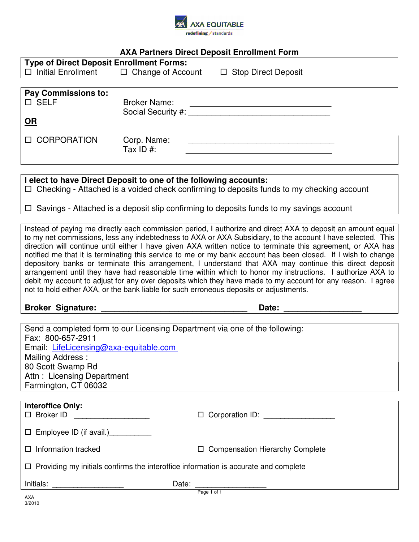

# **AXA Partners Direct Deposit Enrollment Form**

| <b>Type of Direct Deposit Enrollment Forms:</b>    |                     |                            |  |  |
|----------------------------------------------------|---------------------|----------------------------|--|--|
| $\Box$ Initial Enrollment $\Box$ Change of Account |                     | $\Box$ Stop Direct Deposit |  |  |
|                                                    |                     |                            |  |  |
| <b>Pay Commissions to:</b>                         |                     |                            |  |  |
| $\square$ SELF                                     | <b>Broker Name:</b> |                            |  |  |
|                                                    | Social Security #:  |                            |  |  |
| <u>OR</u>                                          |                     |                            |  |  |
|                                                    |                     |                            |  |  |
| <b>II CORPORATION</b>                              | Corp. Name:         |                            |  |  |
|                                                    | Tax ID #:           |                            |  |  |

**I elect to have Direct Deposit to one of the following accounts:** 

 $\Box$  Checking - Attached is a voided check confirming to deposits funds to my checking account

 $\Box$  Savings - Attached is a deposit slip confirming to deposits funds to my savings account

Instead of paying me directly each commission period, I authorize and direct AXA to deposit an amount equal to my net commissions, less any indebtedness to AXA or AXA Subsidiary, to the account I have selected. This direction will continue until either I have given AXA written notice to terminate this agreement, or AXA has notified me that it is terminating this service to me or my bank account has been closed. If I wish to change depository banks or terminate this arrangement, I understand that AXA may continue this direct deposit arrangement until they have had reasonable time within which to honor my instructions. I authorize AXA to debit my account to adjust for any over deposits which they have made to my account for any reason. I agree not to hold either AXA, or the bank liable for such erroneous deposits or adjustments.

**Broker Signature: Date: Date: Date: Date: Date: Date: Date: Date: Date: Date: Date: Date: Date: Date: Date: Date: Date: Date: Date: Date: Date: Date: Date: Date: Date: D** 

| Send a completed form to our Licensing Department via one of the following:                |                                                  |  |  |  |
|--------------------------------------------------------------------------------------------|--------------------------------------------------|--|--|--|
| Fax: 800-657-2911                                                                          |                                                  |  |  |  |
| Email: LifeLicensing@axa-equitable.com                                                     |                                                  |  |  |  |
| Mailing Address:                                                                           |                                                  |  |  |  |
| 80 Scott Swamp Rd                                                                          |                                                  |  |  |  |
| Attn: Licensing Department                                                                 |                                                  |  |  |  |
| Farmington, CT 06032                                                                       |                                                  |  |  |  |
|                                                                                            |                                                  |  |  |  |
| <b>Interoffice Only:</b>                                                                   |                                                  |  |  |  |
| $\Box$ Broker ID                                                                           | $\Box$ Corporation ID:                           |  |  |  |
|                                                                                            |                                                  |  |  |  |
| $\Box$ Employee ID (if avail.)                                                             |                                                  |  |  |  |
|                                                                                            |                                                  |  |  |  |
| $\Box$ Information tracked                                                                 | <b>Compensation Hierarchy Complete</b><br>$\Box$ |  |  |  |
| $\Box$ Providing my initials confirms the interoffice information is accurate and complete |                                                  |  |  |  |
|                                                                                            |                                                  |  |  |  |
| Initials:                                                                                  | Date:                                            |  |  |  |
|                                                                                            | Page 1 of 1                                      |  |  |  |